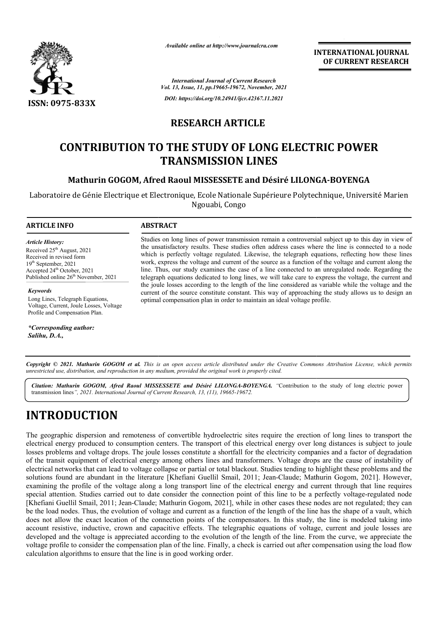

*Available online at http://www.journalcra.com*

**INTERNATIONAL JOURNAL OF CURRENT RESEARCH**

*International Journal of Current Research Vol. 13, Issue, 11, pp.19665-19672, November, 2021 DOI: https://doi.org/10.24941/ijcr.42367.11.2021*

# **RESEARCH ARTICLE**

# **CONTRIBUTION TO THE STUDY OF LONG ELECTRIC POWER TRANSMISSION LINES**

### **Mathurin GOGOM, Afred Raoul MISSESSETE and Désiré LILONGA Mathurin and Désiré LILONGA-BOYENGA**

Laboratoire de Génie Electrique et Electronique, Ecole Nationale Supérieure Polytechnique, Université Marien Ngouabi, Congo

#### **ARTICLE INFO ABSTRACT**

*Article History: Article History:* Received  $25<sup>th</sup>$  August, 2021 Received in revised form Received in revised form Received in revised form  $19<sup>th</sup> September, 2021$ Accepted  $24<sup>th</sup>$  October, 2021 Published online 26<sup>th</sup> November, 2021

*Keywords*

Long Lines, Telegraph Equations, Voltage, Current, Joule Losses, Voltage Profile and Compensation Plan.

*\*Corresponding author: Salihu, D.A.,*

Studies on long lines of power transmission remain a controversial subject up to this day in view of the unsatisfactory results. These studies often address cases where the line is connected to a node which is perfectly voltage regulated. Likewise, the telegraph equations, reflecting how these lines work, express the voltage and current of the source as a function of the voltage and current along the line. Thus, our study examines the case of a line connected to an unregulated node. Regarding the telegraph equations dedicated to long lines, we will take care to express the voltage, the current and the joule lo losses according to the length of the line considered as variable while the voltage and the current of the source constitute constant. This way of approaching the study allows us to design an optimal compensation plan in order to maintain an ideal voltage pr Studies on long lines of power transmission remain a controversial subject up to this day in view of the unsatisfactory results. These studies often address cases where the line is connected to a node which is perfectly vo

Copyright © 2021. Mathurin GOGOM et al. This is an open access article distributed under the Creative Commons Attribution License, which permits *unrestricted use, distribution, and reproduction in any medium, provided the original work is properly cited.*

Citation: Mathurin GOGOM, Afred Raoul MISSESSETE and Désiré LILONGA-BOYENGA. "Contribution to the study of long electric power transmission lines*", 2021. International Journal of Current Research, 13, (11), 19665-19672.*

# **INTRODUCTION**

The geographic dispersion and remoteness of convertible hydroelectric sites require the erection of long lines to transport the electrical energy produced to consumption centers. The transport of this electrical energy over long distances is subject to joule electrical energy produced to consumption centers. The transport of this electrical energy over long distances is subject to joule<br>losses problems and voltage drops. The joule losses constitute a shortfall for the electric of the transit equipment of electrical energy among others lines and transformers. Voltage drops are the cause of instability of of the transit equipment of electrical energy among others lines and transformers. Voltage drops are the cause of instability of<br>electrical networks that can lead to voltage collapse or partial or total blackout. Studies t of the transit equipment of electrical energy among others lines and transformers. Voltage drops are the cause of instability of<br>electrical networks that can lead to voltage collapse or partial or total blackout. Studies t examining the profile of the voltage along a long transport line of the electrical energy and current through that line requires special attention. Studies carried out to date consider the connection point of this line to be a perfectly voltage-regulated node special attention. Studies carried out to date consider the connection point of this line to be a perfectly voltage-regulated node<br>[Khefiani Guellil Smail, 2011; Jean-Claude; Mathurin Gogom, 2021], while in other cases the be the load nodes. Thus, the evolution of voltage and current as a function of the length of the line has the shape of a vault, which does not allow the exact location of the connection points of the compensators. In this study, the line is modeled taking into account resistive, inductive, crown and capacitive effects. The telegraphic equations of voltage, current and joule losses are account resistive, inductive, crown and capacitive effects. The telegraphic equations of voltage, current and joule losses are<br>developed and the voltage is appreciated according to the evolution of the length of the line. voltage profile to consider the compensation plan of the line. Finally, a check is carried out after compensation using the load flow calculation algorithms to ensure that the line is in good working order. [Khefiani Guellil Smail, 2011; Jean-Claude; Mathurin Gogom, 2021], while in other cases these nodes are not regulated; they can<br>be the load nodes. Thus, the evolution of voltage and current as a function of the length of t **EXERCISE AND THE COURREL SET COURREL SET COURREL TRESPANDING A COURREL TRESPANDING COURREL TRESPANDING COURREL TRESPANDING CONTROLL CONTROLL CONTROLL CONTROLL CONTROLL CONTROLL CONTROLL CONTROLL CONTROLL CONTROLL CONTROL**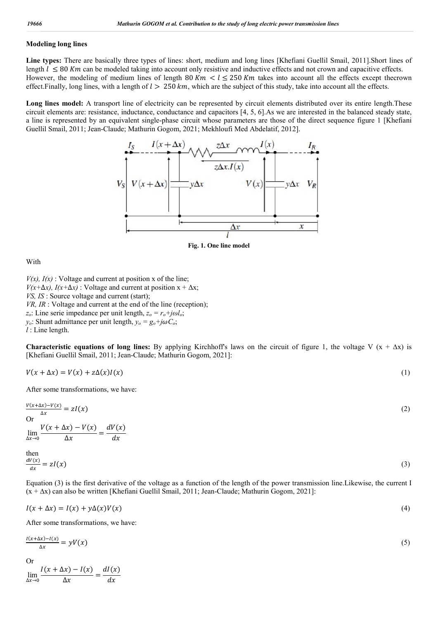#### **Modeling long lines**

**Line types:** There are basically three types of lines: short, medium and long lines [Khefiani Guellil Smail, 2011].Short lines of length  $l \leq 80$  Km can be modeled taking into account only resistive and inductive effects and not crown and capacitive effects. However, the modeling of medium lines of length 80 Km  $\lt l \le 250$  Km takes into account all the effects except thecrown effect.Finally, long lines, with a length of  $l > 250 \, \text{km}$ , which are the subject of this study, take into account all the effects.

Long lines model: A transport line of electricity can be represented by circuit elements distributed over its entire length.These circuit elements are: resistance, inductance, conductance and capacitors [4, 5, 6].As we are interested in the balanced steady state, a line is represented by an equivalent single-phase circuit whose parameters are those of the direct sequence figure 1 [Khefiani Guellil Smail, 2011; Jean-Claude; Mathurin Gogom, 2021; Mekhloufi Med Abdelatif, 2012].



**Fig. 1. One line model**

With

 $V(x)$ ,  $I(x)$ : Voltage and current at position x of the line; *V*( $x + \Delta x$ ), *I*( $x + \Delta x$ ) : Voltage and current at position  $x + \Delta x$ ; *VS, IS* : Source voltage and current (start); *VR, IR* : Voltage and current at the end of the line (reception);  $z_o$ : Line serie impedance per unit length,  $z_o = r_o + j\omega l_o$ ; *y<sub>o</sub>*: Shunt admittance per unit length,  $y_o = g_o + j\omega C_o$ ;

*l* : Line length.

**Characteristic equations of long lines:** By applying Kirchhoff's laws on the circuit of figure 1, the voltage V  $(x + \Delta x)$  is [Khefiani Guellil Smail, 2011; Jean-Claude; Mathurin Gogom, 2021]:

$$
V(x + \Delta x) = V(x) + z\Delta(x)I(x)
$$
\n<sup>(1)</sup>

After some transformations, we have:

$$
\frac{V(x+\Delta x)-V(x)}{\Delta x} = zI(x)
$$
\nOr\n
$$
\lim_{\Delta x \to 0} \frac{V(x+\Delta x)-V(x)}{\Delta x} = \frac{dV(x)}{dx}
$$
\nthen\n
$$
\frac{dV(x)}{dx} = \frac{dV(x)}{dx}
$$
\n(2)

$$
\frac{dV(x)}{dx} = zI(x) \tag{3}
$$

Equation (3) is the first derivative of the voltage as a function of the length of the power transmission line.Likewise, the current I (x + ∆x) can also be written [Khefiani Guellil Smail, 2011; Jean-Claude; Mathurin Gogom, 2021]:

$$
I(x + \Delta x) = I(x) + y\Delta(x)V(x)
$$
\n<sup>(4)</sup>

After some transformations, we have:

$$
\frac{I(x+\Delta x) - I(x)}{\Delta x} = yV(x) \tag{5}
$$

Or

 $\lim_{\Delta x \to 0}$  $\frac{I(x + \Delta x) - I(x)}{\Delta x} = \frac{dI(x)}{dx}$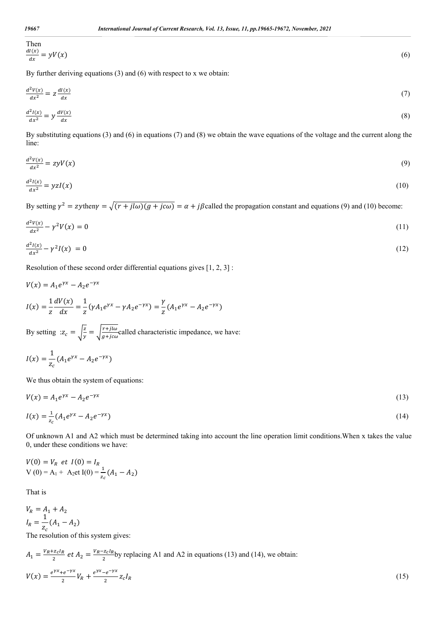Then  
\n
$$
\frac{dI(x)}{dx} = yV(x)
$$
\n(6)

By further deriving equations (3) and (6) with respect to x we obtain:

$$
\frac{d^2V(x)}{dx^2} = z \frac{dI(x)}{dx}
$$
(7)  

$$
\frac{d^2I(x)}{dx^2} = y \frac{dV(x)}{dx}
$$
(8)

By substituting equations (3) and (6) in equations (7) and (8) we obtain the wave equations of the voltage and the current along the line:

$$
\frac{d^2V(x)}{dx^2} = zyV(x) \tag{9}
$$

$$
\frac{d^2I(x)}{dx^2} = yzI(x) \tag{10}
$$

By setting  $\gamma^2 = z$ ythen $\gamma = \sqrt{(r + j l \omega)(g + j c \omega)} = \alpha + j \beta$ called the propagation constant and equations (9) and (10) become:

$$
\frac{d^2V(x)}{dx^2} - \gamma^2 V(x) = 0\tag{11}
$$

$$
\frac{d^2I(x)}{dx^2} - \gamma^2 I(x) = 0 \tag{12}
$$

Resolution of these second order differential equations gives [1, 2, 3] :

$$
V(x) = A_1 e^{\gamma x} - A_2 e^{-\gamma x}
$$
  
\n
$$
I(x) = \frac{1}{z} \frac{dV(x)}{dx} = \frac{1}{z} (\gamma A_1 e^{\gamma x} - \gamma A_2 e^{-\gamma x}) = \frac{\gamma}{z} (A_1 e^{\gamma x} - A_2 e^{-\gamma x})
$$

By setting  $: z_c = \sqrt{\frac{z}{y}} = \sqrt{\frac{r + j\omega}{g + j\omega}}$ called characteristic impedance, we have:

$$
I(x) = \frac{1}{z_c} (A_1 e^{\gamma x} - A_2 e^{-\gamma x})
$$

We thus obtain the system of equations:

$$
V(x) = A_1 e^{\gamma x} - A_2 e^{-\gamma x} \tag{13}
$$

$$
I(x) = \frac{1}{z_c} (A_1 e^{\gamma x} - A_2 e^{-\gamma x})
$$
\n(14)

Of unknown A1 and A2 which must be determined taking into account the line operation limit conditions.When x takes the value 0, under these conditions we have:

$$
V(0) = V_R \text{ et } I(0) = I_R
$$
  
 
$$
V(0) = A_1 + A_2 \text{ et } I(0) = \frac{1}{z_c} (A_1 - A_2)
$$

That is

$$
V_R = A_1 + A_2
$$
  

$$
I_R = \frac{1}{z_c}(A_1 - A_2)
$$

The resolution of this system gives:

$$
A_1 = \frac{V_R + z_c I_R}{2} \text{ et } A_2 = \frac{V_R - z_c I_R}{2} \text{ by replacing A1 and A2 in equations (13) and (14), we obtain:}
$$
\n
$$
V(x) = \frac{e^{\gamma x} + e^{-\gamma x}}{2} V_R + \frac{e^{\gamma x} - e^{-\gamma x}}{2} z_c I_R
$$
\n(15)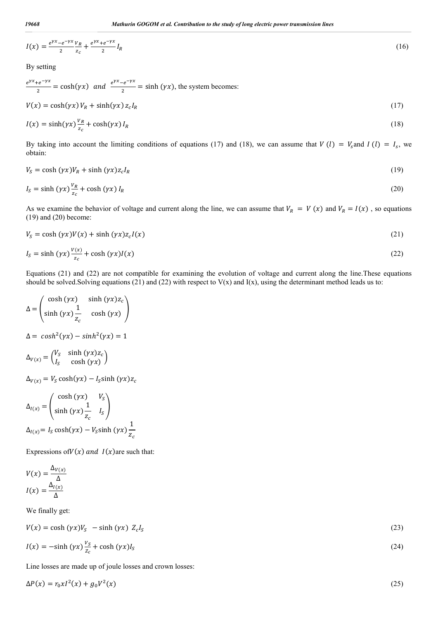$$
I(x) = \frac{e^{\gamma x} - e^{-\gamma x}}{2} \frac{v_R}{z_c} + \frac{e^{\gamma x} + e^{-\gamma x}}{2} I_R
$$
 (16)

By setting

$$
\frac{e^{\gamma x} + e^{-\gamma x}}{2} = \cosh(\gamma x) \quad \text{and} \quad \frac{e^{\gamma x} - e^{-\gamma x}}{2} = \sinh(\gamma x), \text{ the system becomes:}
$$

$$
V(x) = \cosh(\gamma x) V_R + \sinh(\gamma x) z_c I_R \tag{17}
$$

$$
I(x) = \sinh(\gamma x) \frac{v_R}{z_c} + \cosh(\gamma x) I_R \tag{18}
$$

By taking into account the limiting conditions of equations (17) and (18), we can assume that  $V(l) = V_s$  and  $I(l) = I_s$ , we obtain:

$$
V_S = \cosh(\gamma x)V_R + \sinh(\gamma x)z_cI_R \tag{19}
$$

$$
I_S = \sinh\left(\gamma x\right) \frac{v_R}{z_c} + \cosh\left(\gamma x\right) I_R \tag{20}
$$

As we examine the behavior of voltage and current along the line, we can assume that  $V_R = V(x)$  and  $V_R = I(x)$ , so equations (19) and (20) become:

$$
V_S = \cosh(\gamma x)V(x) + \sinh(\gamma x)z_cI(x) \tag{21}
$$

$$
I_S = \sinh\left(\gamma x\right) \frac{v(x)}{z_c} + \cosh\left(\gamma x\right) I(x) \tag{22}
$$

Equations (21) and (22) are not compatible for examining the evolution of voltage and current along the line.These equations should be solved. Solving equations (21) and (22) with respect to  $V(x)$  and  $I(x)$ , using the determinant method leads us to:

$$
\Delta = \begin{pmatrix} \cosh(yx) & \sinh(yx)z_c \\ \sinh(yx)\frac{1}{z_c} & \cosh(yx) \end{pmatrix}
$$

$$
\Delta = \cosh^2(\gamma x) - \sinh^2(\gamma x) = 1
$$

$$
\Delta_{V(x)} = \begin{pmatrix} V_s & \sinh(\gamma x) z_c \\ I_s & \cosh(\gamma x) \end{pmatrix}
$$

 $\Delta_{V(x)} = V_s \cosh(\gamma x) - I_s \sinh(\gamma x) z_c$ 

$$
\Delta_{I(x)} = \begin{pmatrix} \cosh(yx) & V_s \\ \sinh(yx) \frac{1}{z_c} & I_s \end{pmatrix}
$$

$$
\Delta_{I(x)} = I_s \cosh(yx) - V_s \sinh(yx) \frac{1}{z_c}
$$

Expressions of  $V(x)$  and  $I(x)$  are such that:

$$
V(x) = \frac{\Delta_{V(x)}}{\Delta}
$$

$$
I(x) = \frac{\Delta_{I(x)}}{\Delta}
$$

We finally get:

$$
V(x) = \cosh(\gamma x)V_s - \sinh(\gamma x) Z_c I_s \tag{23}
$$

$$
I(x) = -\sinh\left(\gamma x\right)\frac{v_s}{z_c} + \cosh\left(\gamma x\right)I_s\tag{24}
$$

Line losses are made up of joule losses and crown losses:

$$
\Delta P(x) = r_0 x l^2(x) + g_0 V^2(x) \tag{25}
$$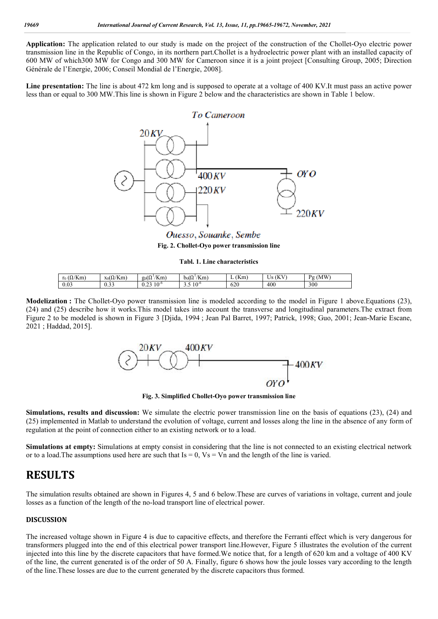**Application:** The application related to our study is made on the project of the construction of the Chollet-Oyo electric power transmission line in the Republic of Congo, in its northern part.Chollet is a hydroelectric power plant with an installed capacity of 600 MW of which300 MW for Congo and 300 MW for Cameroon since it is a joint project [Consulting Group, 2005; Direction Générale de l'Energie, 2006; Conseil Mondial de l'Energie, 2008].

**Line presentation:** The line is about 472 km long and is supposed to operate at a voltage of 400 KV.It must pass an active power less than or equal to 300 MW.This line is shown in Figure 2 below and the characteristics are shown in Table 1 below.



Ouesso, Souanke, Sembe **Fig. 2. Chollet-Oyo power transmission line**

**Tabl. 1. Line characteristics**

| $(\Omega/K)$<br>'Km<br>r <sub>0</sub> | $x_0(\Omega/Km)$ | Km<br>$\sim$<br>20(77)          | 1/17<br>$\sim$<br>/Km<br>Dol 12 | (Km<br>- | <b>KV</b><br>Iс<br>$\overline{1}$<br>ັ | . (MW <sup>2</sup> )<br>$P_{\alpha}$ |
|---------------------------------------|------------------|---------------------------------|---------------------------------|----------|----------------------------------------|--------------------------------------|
| 0.03                                  | $\sim$           | $10^{-6}$<br>$\sim$<br>$v \sim$ | $10^{-6}$<br>ر.,                | 620      | 400                                    | 300                                  |

**Modelization** : The Chollet-Oyo power transmission line is modeled according to the model in Figure 1 above. Equations (23), (24) and (25) describe how it works.This model takes into account the transverse and longitudinal parameters.The extract from Figure 2 to be modeled is shown in Figure 3 [Djida, 1994 ; Jean Pal Barret, 1997; Patrick, 1998; Guo, 2001; Jean-Marie Escane, 2021 ; Haddad, 2015].



**Fig. 3. Simplified Chollet-Oyo power transmission line**

**Simulations, results and discussion:** We simulate the electric power transmission line on the basis of equations (23), (24) and (25) implemented in Matlab to understand the evolution of voltage, current and losses along the line in the absence of any form of regulation at the point of connection either to an existing network or to a load.

**Simulations at empty:** Simulations at empty consist in considering that the line is not connected to an existing electrical network or to a load. The assumptions used here are such that  $Is = 0$ ,  $Vs = Vn$  and the length of the line is varied.

# **RESULTS**

The simulation results obtained are shown in Figures 4, 5 and 6 below.These are curves of variations in voltage, current and joule losses as a function of the length of the no-load transport line of electrical power.

#### **DISCUSSION**

The increased voltage shown in Figure 4 is due to capacitive effects, and therefore the Ferranti effect which is very dangerous for transformers plugged into the end of this electrical power transport line.However, Figure 5 illustrates the evolution of the current injected into this line by the discrete capacitors that have formed.We notice that, for a length of 620 km and a voltage of 400 KV of the line, the current generated is of the order of 50 A. Finally, figure 6 shows how the joule losses vary according to the length of the line.These losses are due to the current generated by the discrete capacitors thus formed.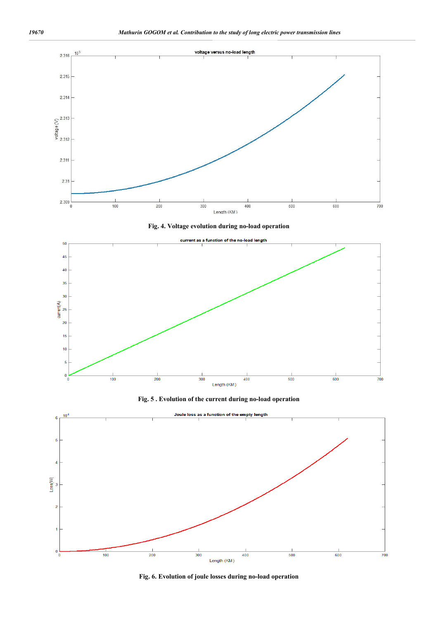

**Fig. 6. Evolution of joule losses during no-load operation**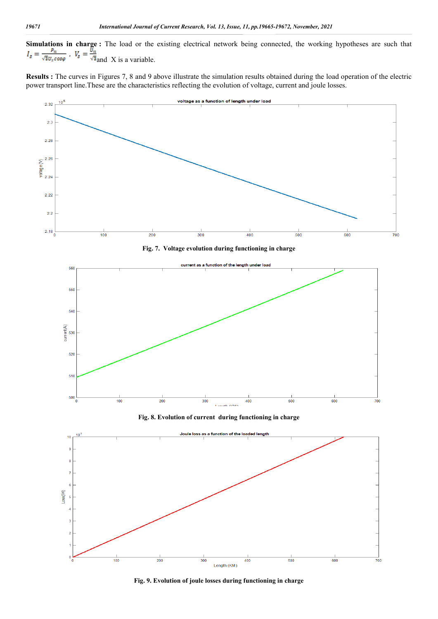**Simulations in charge :** The load or the existing electrical network being connected, the working hypotheses are such that and X is a variable.

**Results :** The curves in Figures 7, 8 and 9 above illustrate the simulation results obtained during the load operation of the electric power transport line.These are the characteristics reflecting the evolution of voltage, current and joule losses.



**Fig. 9. Evolution of joule losses during functioning in charge**